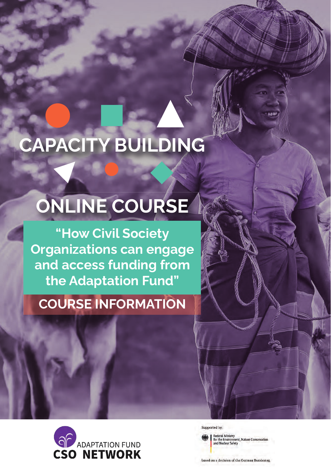# CAPACITY BUILDING

# ONLINE COURSE

"How Civil Society Organizations can engage and access funding from the Adaptation Fund"

## COURSE INFORMATION



Supported by:

Federal Ministry<br>for the Environment, Nature Conservation<br>and Nuclear Safety

based on a decision of the German Bundestag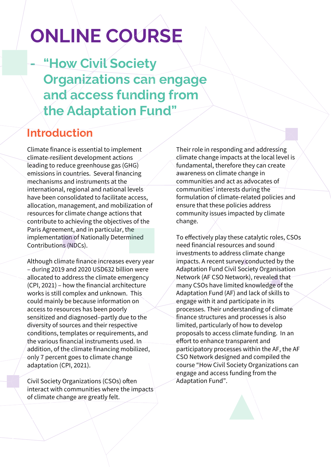## **ONLINE COURSE**

"How Civil Society **Organizations can engage** and access funding from the Adaptation Fund"

## **Introduction**

Climate finance is essential to implement climate-resilient development actions leading to reduce greenhouse gas (GHG) emissions in countries. Several financing mechanisms and instruments at the international, regional and national levels have been consolidated to facilitate access. allocation, management, and mobilization of resources for climate change actions that contribute to achieving the objectives of the Paris Agreement, and in particular, the implementation of Nationally Determined Contributions (NDCs).

Although climate finance increases every year - during 2019 and 2020 USD632 billion were allocated to address the climate emergency (CPI, 2021) – how the financial architecture works is still complex and unknown. This could mainly be because information on access to resources has been poorly sensitized and diagnosed-partly due to the diversity of sources and their respective conditions, templates or requirements, and the various financial instruments used. In addition, of the climate financing mobilized, only 7 percent goes to climate change adaptation (CPI, 2021).

Civil Society Organizations (CSOs) often interact with communities where the impacts of climate change are greatly felt.

Their role in responding and addressing climate change impacts at the local level is fundamental, therefore they can create awareness on climate change in communities and act as advocates of communities' interests during the formulation of climate-related policies and ensure that these policies address community issues impacted by climate change.

To effectively play these catalytic roles, CSOs need financial resources and sound investments to address climate change impacts. A recent survey conducted by the **Adaptation Fund Civil Society Organisation** Network (AF CSO Network), revealed that many CSOs have limited knowledge of the Adaptation Fund (AF) and lack of skills to engage with it and participate in its processes. Their understanding of climate finance structures and processes is also limited, particularly of how to develop proposals to access climate funding. In an effort to enhance transparent and participatory processes within the AF, the AF CSO Network designed and compiled the course "How Civil Society Organizations can engage and access funding from the Adaptation Fund".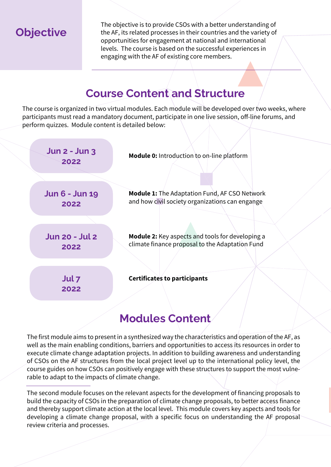**Objective** 

The objective is to provide CSOs with a better understanding of the AF, its related processes in their countries and the variety of opportunities for engagement at national and international levels. The course is based on the successful experiences in engaging with the AF of existing core members.

## **Course Content and Structure**

The course is organized in two virtual modules. Each module will be developed over two weeks, where participants must read a mandatory document, participate in one live session, off-line forums, and perform quizzes. Module content is detailed below:

| <b>Jun 2 - Jun 3</b><br>2022  | <b>Module 0:</b> Introduction to on-line platform                                                       |
|-------------------------------|---------------------------------------------------------------------------------------------------------|
| <b>Jun 6 - Jun 19</b><br>2022 | <b>Module 1:</b> The Adaptation Fund, AF CSO Network<br>and how civil society organizations can engange |
| <b>Jun 20 - Jul 2</b>         | <b>Module 2:</b> Key aspects and tools for developing a                                                 |
| 2022                          | climate finance proposal to the Adaptation Fund                                                         |
| Jul <sub>7</sub><br>2022      | <b>Certificates to participants</b>                                                                     |

## Modules Content

The first module aims to present in a synthesized way the characteristics and operation of the AF, as well as the main enabling conditions, barriers and opportunities to access its resources in order to execute climate change adaptation projects. In addition to building awareness and understanding of CSOs on the AF structures from the local project level up to the international policy level, the course guides on how CSOs can positively engage with these structures to support the most vulnerable to adapt to the impacts of climate change.

The second module focuses on the relevant aspects for the development of financing proposals to build the capacity of CSOs in the preparation of climate change proposals, to better access finance and thereby support climate action at the local level. This module covers key aspects and tools for developing a climate change proposal, with a specific focus on understanding the AF proposal review criteria and processes.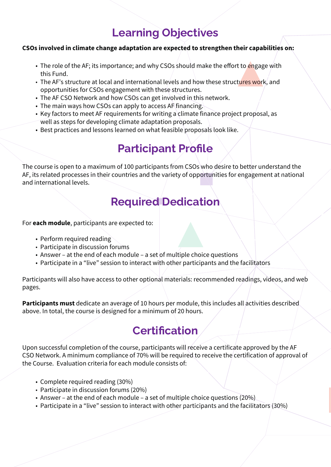## **Learning Objectives**

#### CSOs involved in climate change adaptation are expected to strengthen their capabilities on:

- The role of the AF; its importance; and why CSOs should make the effort to engage with this Fund.
- The AF's structure at local and international levels and how these structures work, and opportunities for CSOs engagement with these structures.
- The AF CSO Network and how CSOs can get involved in this network.
- The main ways how CSOs can apply to access AF financing.
- Key factors to meet AF requirements for writing a climate finance project proposal, as well as steps for developing climate adaptation proposals.
- Best practices and lessons learned on what feasible proposals look like.

## **Participant Profile**

The course is open to a maximum of 100 participants from CSOs who desire to better understand the AF, its related processes in their countries and the variety of opportunities for engagement at national and international levels.

## **Required Dedication**

For each module, participants are expected to:

- Perform required reading
- Participate in discussion forums
- Answer at the end of each module a set of multiple choice questions
- Participate in a "live" session to interact with other participants and the facilitators

Participants will also have access to other optional materials: recommended readings, videos, and web pages.

**Participants must** dedicate an average of 10 hours per module, this includes all activities described above. In total, the course is designed for a minimum of 20 hours.

## **Certification**

Upon successful completion of the course, participants will receive a certificate approved by the AF CSO Network. A minimum compliance of 70% will be required to receive the certification of approval of the Course. Evaluation criteria for each module consists of:

- Complete required reading (30%)
- Participate in discussion forums (20%)
- Answer at the end of each module a set of multiple choice questions (20%).
- Participate in a "live" session to interact with other participants and the facilitators (30%)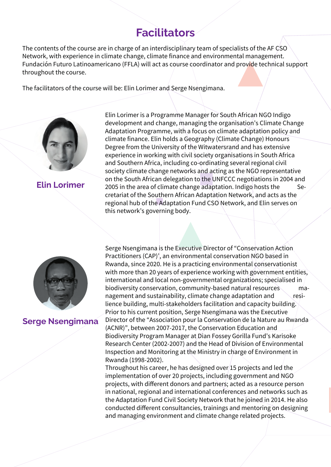### **Facilitators**

The contents of the course are in charge of an interdisciplinary team of specialists of the AF CSO Network, with experience in climate change, climate finance and environmental management. Fundación Futuro Latinoamericano (FFLA) will act as course coordinator and provide technical support throughout the course.

The facilitators of the course will be: Elin Lorimer and Serge Nsengimana.



Elin Lorimer

Elin Lorimer is a Programme Manager for South African NGO Indigo development and change, managing the organisation's Climate Change Adaptation Programme, with a focus on climate adaptation policy and climate finance. Elin holds a Geography (Climate Change) Honours Degree from the University of the Witwatersrand and has extensive experience in working with civil society organisations in South Africa and Southern Africa, including co-ordinating several regional civil society climate change networks and acting as the NGO representative on the South African delegation to the UNFCCC negotiations in 2004 and 2005 in the area of climate change adaptation. Indigo hosts the Secretariat of the Southern African Adaptation Network, and acts as the regional hub of the Adaptation Fund CSO Network, and Elin serves on this network's governing body.



#### Serge Nsengimana

Serge Nsengimana is the Executive Director of "Conservation Action Practitioners (CAP)', an environmental conservation NGO based in Rwanda, since 2020. He is a practicing environmental conservationist with more than 20 years of experience working with government entities, international and local non-governmental organizations; specialised in biodiversity conservation, community-based natural resources management and sustainability, climate change adaptation and  $\Box$  resilience building, multi-stakeholders facilitation and capacity building. Prior to his current position, Serge Nsengimana was the Executive Director of the "Association pour la Conservation de la Nature au Rwanda (ACNR)", between 2007-2017, the Conservation Education and Biodiversity Program Manager at Dian Fossey Gorilla Fund's Karisoke Research Center (2002-2007) and the Head of Division of Environmental Inspection and Monitoring at the Ministry in charge of Environment in Rwanda (1998-2002).

Throughout his career, he has designed over 15 projects and led the implementation of over 20 projects, including government and NGO projects, with different donors and partners; acted as a resource person in national, regional and international conferences and networks such as the Adaptation Fund Civil Society Network that he joined in 2014. He also conducted different consultancies, trainings and mentoring on designing and managing environment and climate change related projects.